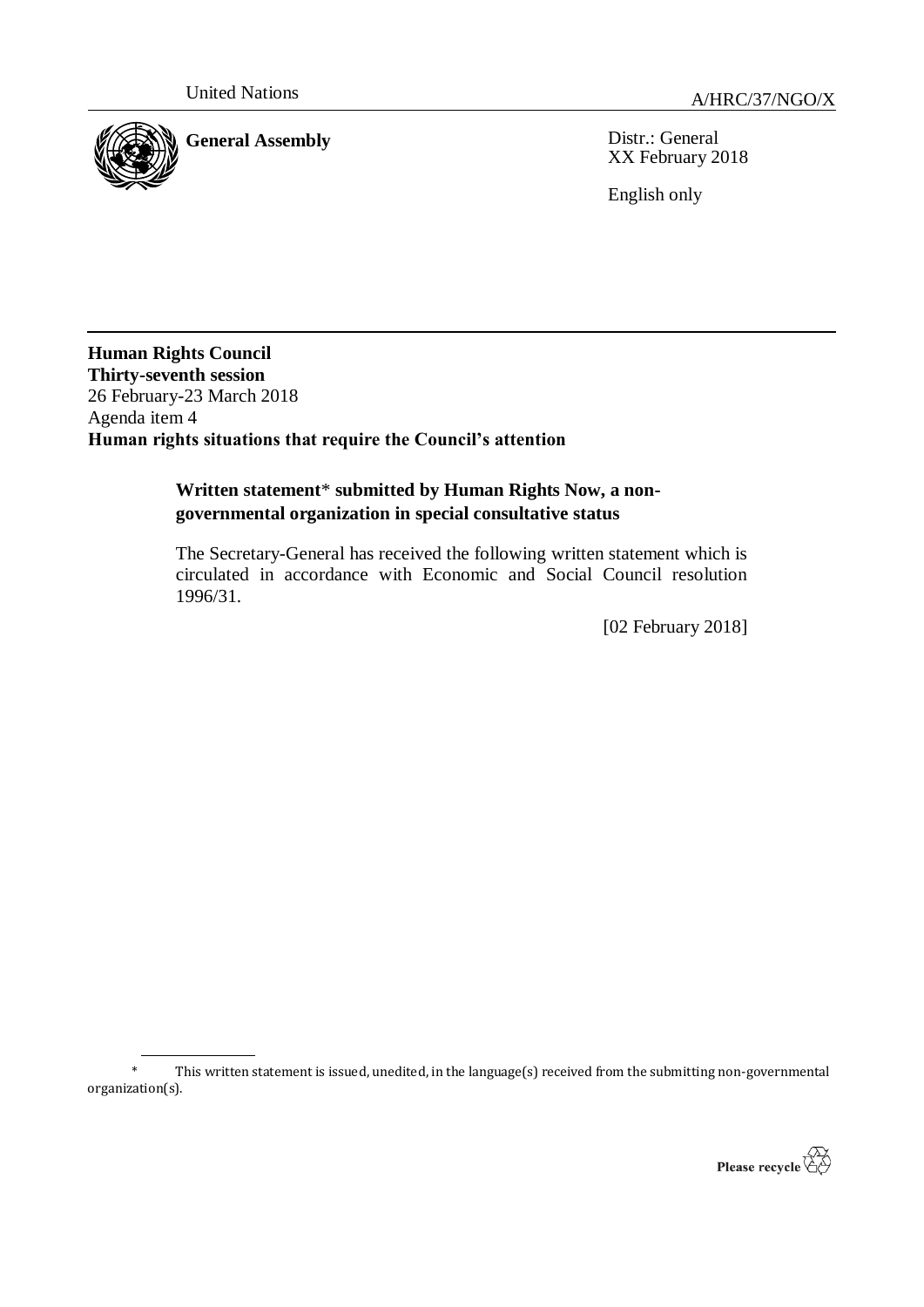

**General Assembly** Distr.: General XX February 2018

English only

**Human Rights Council Thirty-seventh session** 26 February-23 March 2018 Agenda item 4 **Human rights situations that require the Council's attention**

### **Written statement**\* **submitted by Human Rights Now, a nongovernmental organization in special consultative status**

The Secretary-General has received the following written statement which is circulated in accordance with Economic and Social Council resolution 1996/31.

[02 February 2018]

This written statement is issued, unedited, in the language(s) received from the submitting non-governmental organization(s).

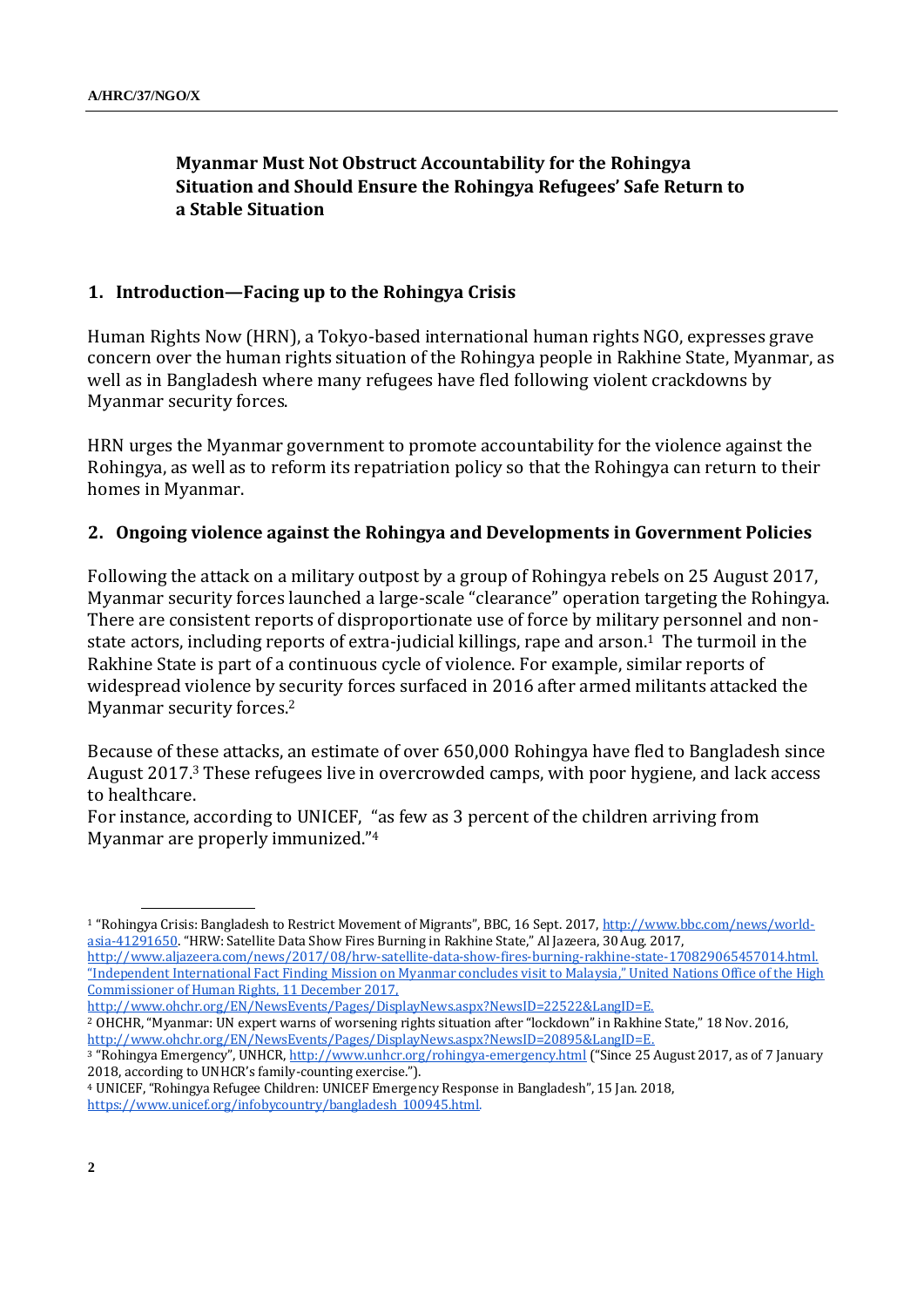# **Myanmar Must Not Obstruct Accountability for the Rohingya Situation and Should Ensure the Rohingya Refugees' Safe Return to a Stable Situation**

#### **1. Introduction—Facing up to the Rohingya Crisis**

Human Rights Now (HRN), a Tokyo-based international human rights NGO, expresses grave concern over the human rights situation of the Rohingya people in Rakhine State, Myanmar, as well as in Bangladesh where many refugees have fled following violent crackdowns by Myanmar security forces.

HRN urges the Myanmar government to promote accountability for the violence against the Rohingya, as well as to reform its repatriation policy so that the Rohingya can return to their homes in Myanmar.

#### **2. Ongoing violence against the Rohingya and Developments in Government Policies**

Following the attack on a military outpost by a group of Rohingya rebels on 25 August 2017, Myanmar security forces launched a large-scale "clearance" operation targeting the Rohingya. There are consistent reports of disproportionate use of force by military personnel and nonstate actors, including reports of extra-judicial killings, rape and arson.<sup>1</sup> The turmoil in the Rakhine State is part of a continuous cycle of violence. For example, similar reports of widespread violence by security forces surfaced in 2016 after armed militants attacked the Myanmar security forces. 2

Because of these attacks, an estimate of over 650,000 Rohingya have fled to Bangladesh since August 2017.<sup>3</sup> These refugees live in overcrowded camps, with poor hygiene, and lack access to healthcare.

For instance, according to UNICEF, "as few as 3 percent of the children arriving from Myanmar are properly immunized."<sup>4</sup>

Commissioner of Human Rights, 11 December 2017,

http://www.ohchr.org/EN/NewsEvents/Pages/DisplayNews.aspx?NewsID=22522&LangID=E.

<sup>1</sup> "Rohingya Crisis: Bangladesh to Restrict Movement of Migrants", BBC, 16 Sept. 2017, [http://www.bbc.com/news/world](http://www.bbc.com/news/world-asia-41291650)[asia-41291650](http://www.bbc.com/news/world-asia-41291650). "HRW: Satellite Data Show Fires Burning in Rakhine State," Al Jazeera, 30 Aug. 2017, [http://www.aljazeera.com/news/2017/08/hrw-satellite-data-show-fires-burning-rakhine-state-170829065457014.html.](http://www.aljazeera.com/news/2017/08/hrw-satellite-data-show-fires-burning-rakhine-state-170829065457014.html)  "Independent International Fact Finding Mission on Myanmar concludes visit to Malaysia," United Nations Office of the High

<sup>2</sup> OHCHR, "Myanmar: UN expert warns of worsening rights situation after "lockdown" in Rakhine State," 18 Nov. 2016, [http://www.ohchr.org/EN/NewsEvents/Pages/DisplayNews.aspx?NewsID=20895&LangID=E.](http://www.ohchr.org/EN/NewsEvents/Pages/DisplayNews.aspx?NewsID=20895&LangID=E) 

<sup>&</sup>lt;sup>3</sup> "Rohingya Emergency", UNHCR, <http://www.unhcr.org/rohingya-emergency.html> ("Since 25 August 2017, as of 7 January 2018, according to UNHCR's family-counting exercise.").

<sup>4</sup> UNICEF, "Rohingya Refugee Children: UNICEF Emergency Response in Bangladesh", 15 Jan. 2018, [https://www.unicef.org/infobycountry/bangladesh\\_100945.html.](https://www.unicef.org/infobycountry/bangladesh_100945.html)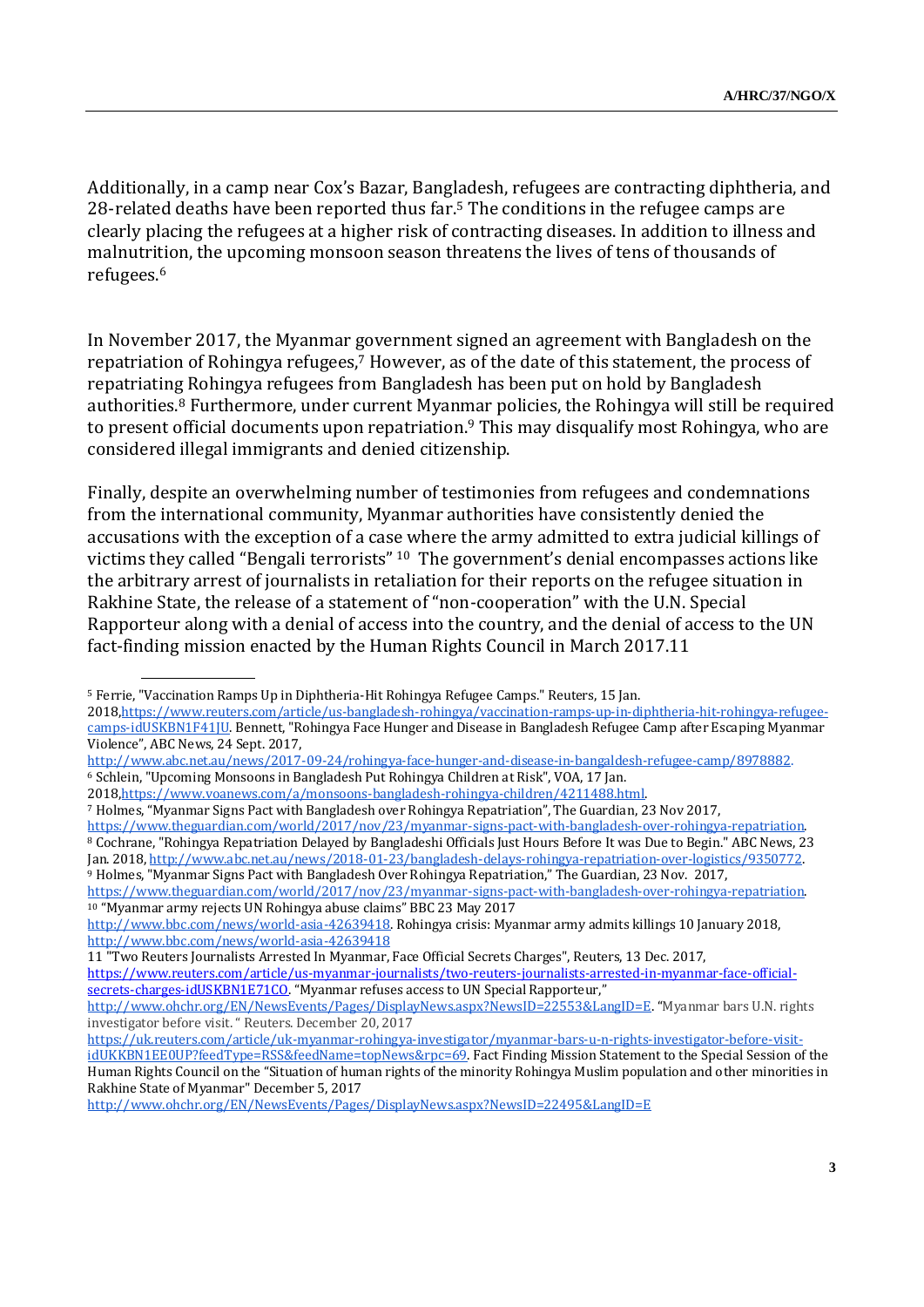Additionally, in a camp near Cox's Bazar, Bangladesh, refugees are contracting diphtheria, and 28-related deaths have been reported thus far.<sup>5</sup> The conditions in the refugee camps are clearly placing the refugees at a higher risk of contracting diseases. In addition to illness and malnutrition, the upcoming monsoon season threatens the lives of tens of thousands of refugees.<sup>6</sup>

In November 2017, the Myanmar government signed an agreement with Bangladesh on the repatriation of Rohingya refugees,<sup>7</sup> However, as of the date of this statement, the process of repatriating Rohingya refugees from Bangladesh has been put on hold by Bangladesh authorities.<sup>8</sup> Furthermore, under current Myanmar policies, the Rohingya will still be required to present official documents upon repatriation.<sup>9</sup> This may disqualify most Rohingya, who are considered illegal immigrants and denied citizenship.

Finally, despite an overwhelming number of testimonies from refugees and condemnations from the international community, Myanmar authorities have consistently denied the accusations with the exception of a case where the army admitted to extra judicial killings of victims they called "Bengali terrorists" <sup>10</sup> The government's denial encompasses actions like the arbitrary arrest of journalists in retaliation for their reports on the refugee situation in Rakhine State, the release of a statement of "non-cooperation" with the U.N. Special Rapporteur along with a denial of access into the country, and the denial of access to the UN fact-finding mission enacted by the Human Rights Council in March 2017.11

11 "Two Reuters Journalists Arrested In Myanmar, Face Official Secrets Charges", Reuters, 13 Dec. 2017,

[https://www.reuters.com/article/us-myanmar-journalists/two-reuters-journalists-arrested-in-myanmar-face-official](https://www.reuters.com/article/us-myanmar-journalists/two-reuters-journalists-arrested-in-myanmar-face-official-secrets-charges-idUSKBN1E71CO)[secrets-charges-idUSKBN1E71CO](https://www.reuters.com/article/us-myanmar-journalists/two-reuters-journalists-arrested-in-myanmar-face-official-secrets-charges-idUSKBN1E71CO). "Myanmar refuses access to UN Special Rapporteur,"

<sup>5</sup> Ferrie, "Vaccination Ramps Up in Diphtheria-Hit Rohingya Refugee Camps." Reuters, 15 Jan.

<sup>201</sup>[8,https://www.reuters.com/article/us-bangladesh-rohingya/vaccination-ramps-up-in-diphtheria-hit-rohingya-refugee](https://www.reuters.com/article/us-bangladesh-rohingya/vaccination-ramps-up-in-diphtheria-hit-rohingya-refugee-camps-idUSKBN1F41JU)[camps-idUSKBN1F41JU.](https://www.reuters.com/article/us-bangladesh-rohingya/vaccination-ramps-up-in-diphtheria-hit-rohingya-refugee-camps-idUSKBN1F41JU) Bennett, "Rohingya Face Hunger and Disease in Bangladesh Refugee Camp after Escaping Myanmar Violence", ABC News, 24 Sept. 2017,

[http://www.abc.net.au/news/2017-09-24/rohingya-face-hunger-and-disease-in-bangaldesh-refugee-camp/8978882.](http://www.abc.net.au/news/2017-09-24/rohingya-face-hunger-and-disease-in-bangaldesh-refugee-camp/8978882)  <sup>6</sup> Schlein, "Upcoming Monsoons in Bangladesh Put Rohingya Children at Risk", VOA, 17 Jan.

<sup>201</sup>[8,https://www.voanews.com/a/monsoons-bangladesh-rohingya-children/4211488.html.](https://www.voanews.com/a/monsoons-bangladesh-rohingya-children/4211488.html) 

<sup>7</sup> Holmes, "Myanmar Signs Pact with Bangladesh over Rohingya Repatriation", The Guardian, 23 Nov 2017,

[https://www.theguardian.com/world/2017/nov/23/myanmar-signs-pact-with-bangladesh-over-rohingya-repatriation.](https://www.theguardian.com/world/2017/nov/23/myanmar-signs-pact-with-bangladesh-over-rohingya-repatriation)  <sup>8</sup> Cochrane, "Rohingya Repatriation Delayed by Bangladeshi Officials Just Hours Before It was Due to Begin." ABC News, 23 Jan. 2018[, http://www.abc.net.au/news/2018-01-23/bangladesh-delays-rohingya-repatriation-over-logistics/9350772.](http://www.abc.net.au/news/2018-01-23/bangladesh-delays-rohingya-repatriation-over-logistics/9350772) <sup>9</sup> Holmes, "Myanmar Signs Pact with Bangladesh Over Rohingya Repatriation," The Guardian, 23 Nov. 2017,

[https://www.theguardian.com/world/2017/nov/23/myanmar-signs-pact-with-bangladesh-over-rohingya-repatriation.](https://www.theguardian.com/world/2017/nov/23/myanmar-signs-pact-with-bangladesh-over-rohingya-repatriation)  <sup>10</sup> "Myanmar army rejects UN Rohingya abuse claims" BBC 23 May 2017

[http://www.bbc.com/news/world-asia-42639418.](http://www.bbc.com/news/world-asia-42639418) Rohingya crisis: Myanmar army admits killings 10 January 2018, <http://www.bbc.com/news/world-asia-42639418>

<http://www.ohchr.org/EN/NewsEvents/Pages/DisplayNews.aspx?NewsID=22553&LangID=E>. "Myanmar bars U.N. rights investigator before visit. " Reuters. December 20, 2017

[https://uk.reuters.com/article/uk-myanmar-rohingya-investigator/myanmar-bars-u-n-rights-investigator-before-visit-](https://uk.reuters.com/article/uk-myanmar-rohingya-investigator/myanmar-bars-u-n-rights-investigator-before-visit-idUKKBN1EE0UP?feedType=RSS&feedName=topNews&rpc=69)

[idUKKBN1EE0UP?feedType=RSS&feedName=topNews&rpc=69.](https://uk.reuters.com/article/uk-myanmar-rohingya-investigator/myanmar-bars-u-n-rights-investigator-before-visit-idUKKBN1EE0UP?feedType=RSS&feedName=topNews&rpc=69) Fact Finding Mission Statement to the Special Session of the Human Rights Council on the "Situation of human rights of the minority Rohingya Muslim population and other minorities in Rakhine State of Myanmar" December 5, 2017

<http://www.ohchr.org/EN/NewsEvents/Pages/DisplayNews.aspx?NewsID=22495&LangID=E>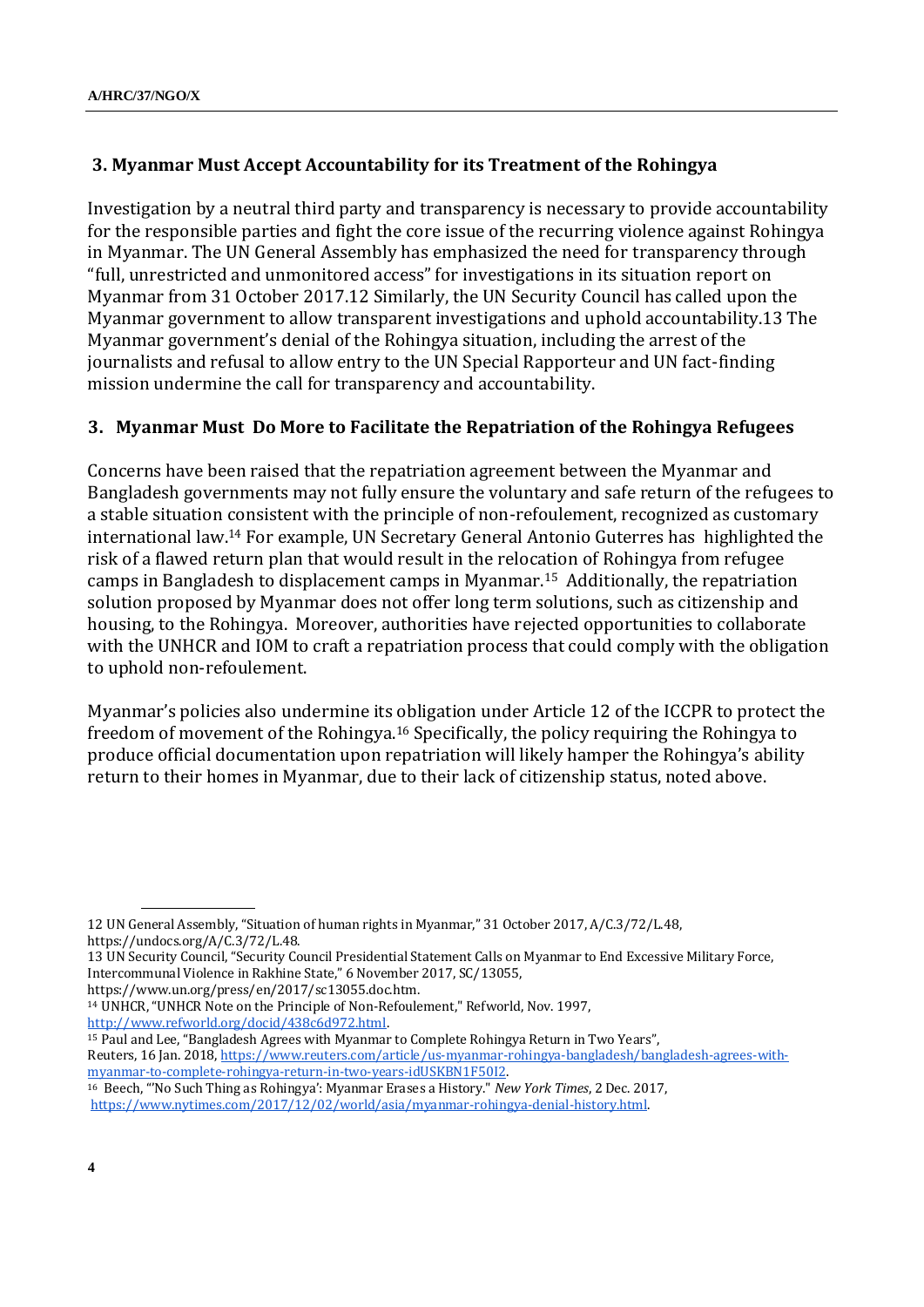# **3. Myanmar Must Accept Accountability for its Treatment of the Rohingya**

Investigation by a neutral third party and transparency is necessary to provide accountability for the responsible parties and fight the core issue of the recurring violence against Rohingya in Myanmar. The UN General Assembly has emphasized the need for transparency through "full, unrestricted and unmonitored access" for investigations in its situation report on Myanmar from 31 October 2017.12 Similarly, the UN Security Council has called upon the Myanmar government to allow transparent investigations and uphold accountability.13 The Myanmar government's denial of the Rohingya situation, including the arrest of the journalists and refusal to allow entry to the UN Special Rapporteur and UN fact-finding mission undermine the call for transparency and accountability.

## **3. Myanmar Must Do More to Facilitate the Repatriation of the Rohingya Refugees**

Concerns have been raised that the repatriation agreement between the Myanmar and Bangladesh governments may not fully ensure the voluntary and safe return of the refugees to a stable situation consistent with the principle of non-refoulement, recognized as customary international law.<sup>14</sup> For example, UN Secretary General Antonio Guterres has highlighted the risk of a flawed return plan that would result in the relocation of Rohingya from refugee camps in Bangladesh to displacement camps in Myanmar.15 Additionally, the repatriation solution proposed by Myanmar does not offer long term solutions, such as citizenship and housing, to the Rohingya. Moreover, authorities have rejected opportunities to collaborate with the UNHCR and IOM to craft a repatriation process that could comply with the obligation to uphold non-refoulement.

Myanmar's policies also undermine its obligation under Article 12 of the ICCPR to protect the freedom of movement of the Rohingya.<sup>16</sup> Specifically, the policy requiring the Rohingya to produce official documentation upon repatriation will likely hamper the Rohingya's ability return to their homes in Myanmar, due to their lack of citizenship status, noted above.

https://www.un.org/press/en/2017/sc13055.doc.htm.

<sup>14</sup> UNHCR, "UNHCR Note on the Principle of Non-Refoulement," Refworld, Nov. 1997, [http://www.refworld.org/docid/438c6d972.html.](http://www.refworld.org/docid/438c6d972.html)

<sup>15</sup> Paul and Lee, "Bangladesh Agrees with Myanmar to Complete Rohingya Return in Two Years", Reuters, 16 Jan. 2018[, https://www.reuters.com/article/us-myanmar-rohingya-bangladesh/bangladesh-agrees-with](https://www.reuters.com/article/us-myanmar-rohingya-bangladesh/bangladesh-agrees-with-myanmar-to-complete-rohingya-return-in-two-years-idUSKBN1F50I2)[myanmar-to-complete-rohingya-return-in-two-years-idUSKBN1F50I2.](https://www.reuters.com/article/us-myanmar-rohingya-bangladesh/bangladesh-agrees-with-myanmar-to-complete-rohingya-return-in-two-years-idUSKBN1F50I2)

<sup>12</sup> UN General Assembly, "Situation of human rights in Myanmar," 31 October 2017, A/C.3/72/L.48, https://undocs.org/A/C.3/72/L.48.

<sup>13</sup> UN Security Council, "Security Council Presidential Statement Calls on Myanmar to End Excessive Military Force, Intercommunal Violence in Rakhine State," 6 November 2017, SC/13055,

<sup>16</sup> Beech, "'No Such Thing as Rohingya': Myanmar Erases a History." *New York Times*, 2 Dec. 2017, [https://www.nytimes.com/2017/12/02/world/asia/myanmar-rohingya-denial-history.html.](https://www.nytimes.com/2017/12/02/world/asia/myanmar-rohingya-denial-history.html)